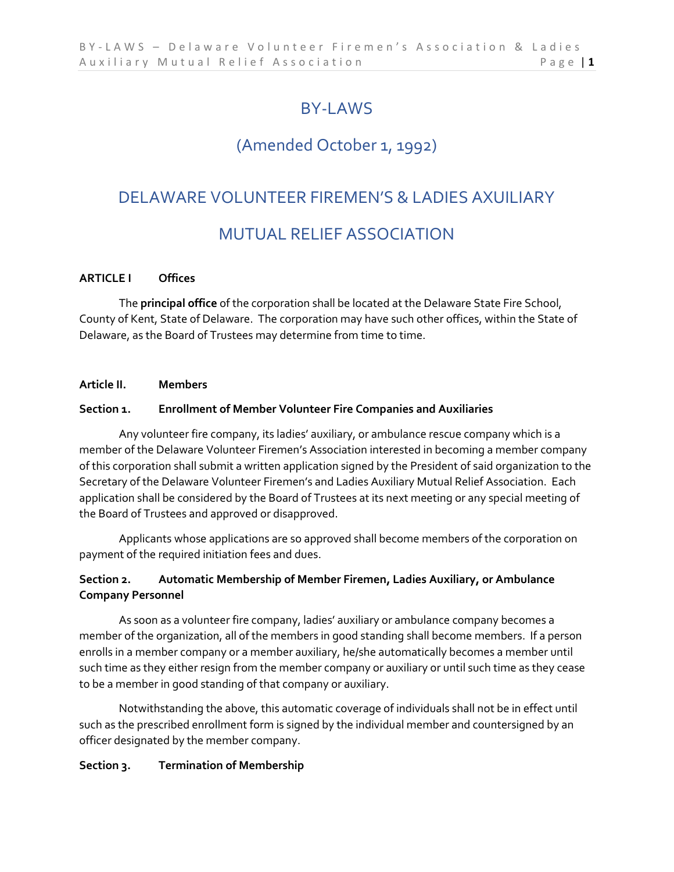# BY-LAWS

# (Amended October 1, 1992)

## DELAWARE VOLUNTEER FIREMEN'S & LADIES AXUILIARY

## MUTUAL RELIEF ASSOCIATION

## **ARTICLE I Offices**

The **principal office** of the corporation shall be located at the Delaware State Fire School, County of Kent, State of Delaware. The corporation may have such other offices, within the State of Delaware, as the Board of Trustees may determine from time to time.

#### **Article II. Members**

## **Section 1. Enrollment of Member Volunteer Fire Companies and Auxiliaries**

Any volunteer fire company, its ladies' auxiliary, or ambulance rescue company which is a member of the Delaware Volunteer Firemen's Association interested in becoming a member company of this corporation shall submit a written application signed by the President of said organization to the Secretary of the Delaware Volunteer Firemen's and Ladies Auxiliary Mutual Relief Association. Each application shall be considered by the Board of Trustees at its next meeting or any special meeting of the Board of Trustees and approved or disapproved.

Applicants whose applications are so approved shall become members of the corporation on payment of the required initiation fees and dues.

## **Section 2. Automatic Membership of Member Firemen, Ladies Auxiliary, or Ambulance Company Personnel**

As soon as a volunteer fire company, ladies' auxiliary or ambulance company becomes a member of the organization, all of the members in good standing shall become members. If a person enrolls in a member company or a member auxiliary, he/she automatically becomes a member until such time as they either resign from the member company or auxiliary or until such time as they cease to be a member in good standing of that company or auxiliary.

Notwithstanding the above, this automatic coverage of individuals shall not be in effect until such as the prescribed enrollment form is signed by the individual member and countersigned by an officer designated by the member company.

#### **Section 3. Termination of Membership**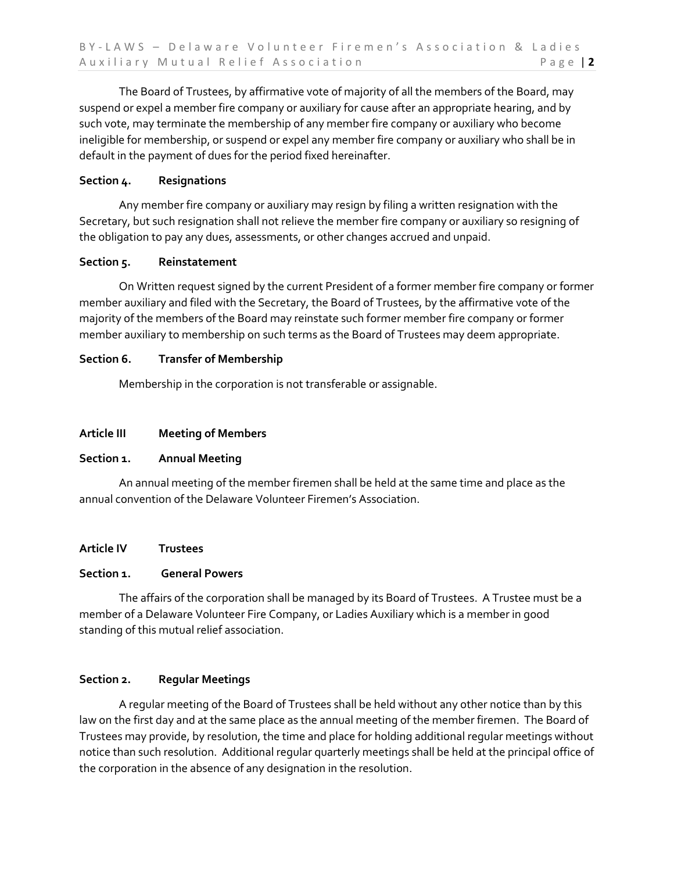The Board of Trustees, by affirmative vote of majority of all the members of the Board, may suspend or expel a member fire company or auxiliary for cause after an appropriate hearing, and by such vote, may terminate the membership of any member fire company or auxiliary who become ineligible for membership, or suspend or expel any member fire company or auxiliary who shall be in default in the payment of dues for the period fixed hereinafter.

## **Section 4. Resignations**

Any member fire company or auxiliary may resign by filing a written resignation with the Secretary, but such resignation shall not relieve the member fire company or auxiliary so resigning of the obligation to pay any dues, assessments, or other changes accrued and unpaid.

## **Section 5. Reinstatement**

On Written request signed by the current President of a former member fire company or former member auxiliary and filed with the Secretary, the Board of Trustees, by the affirmative vote of the majority of the members of the Board may reinstate such former member fire company or former member auxiliary to membership on such terms as the Board of Trustees may deem appropriate.

## **Section 6. Transfer of Membership**

Membership in the corporation is not transferable or assignable.

## **Article III Meeting of Members**

## **Section 1. Annual Meeting**

An annual meeting of the member firemen shall be held at the same time and place as the annual convention of the Delaware Volunteer Firemen's Association.

## **Article IV Trustees**

#### **Section 1. General Powers**

The affairs of the corporation shall be managed by its Board of Trustees. A Trustee must be a member of a Delaware Volunteer Fire Company, or Ladies Auxiliary which is a member in good standing of this mutual relief association.

## **Section 2. Regular Meetings**

A regular meeting of the Board of Trustees shall be held without any other notice than by this law on the first day and at the same place as the annual meeting of the member firemen. The Board of Trustees may provide, by resolution, the time and place for holding additional regular meetings without notice than such resolution. Additional regular quarterly meetings shall be held at the principal office of the corporation in the absence of any designation in the resolution.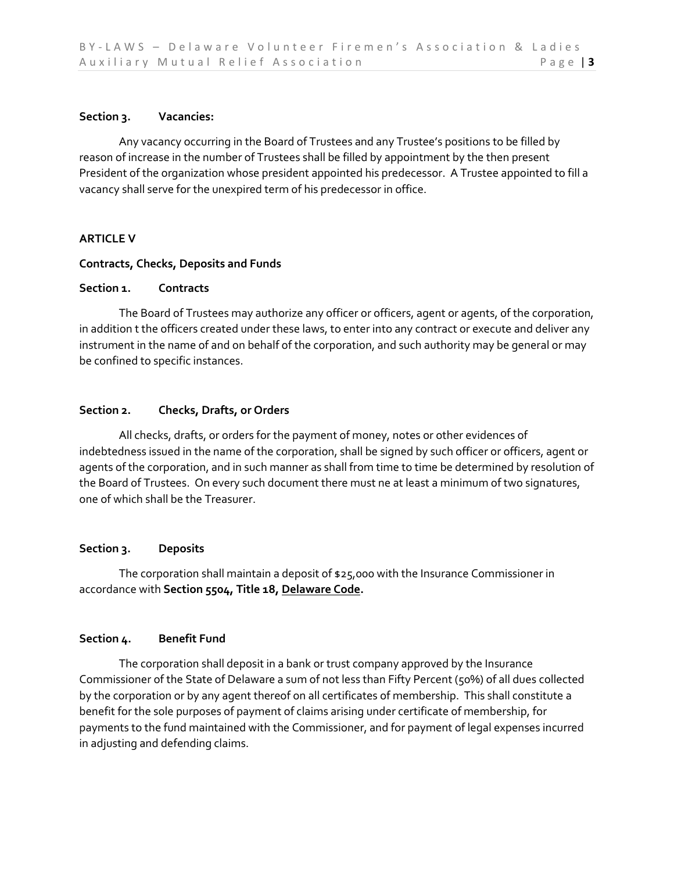#### **Section 3. Vacancies:**

Any vacancy occurring in the Board of Trustees and any Trustee's positions to be filled by reason of increase in the number of Trustees shall be filled by appointment by the then present President of the organization whose president appointed his predecessor. A Trustee appointed to fill a vacancy shall serve for the unexpired term of his predecessor in office.

## **ARTICLE V**

#### **Contracts, Checks, Deposits and Funds**

#### **Section 1. Contracts**

The Board of Trustees may authorize any officer or officers, agent or agents, of the corporation, in addition t the officers created under these laws, to enter into any contract or execute and deliver any instrument in the name of and on behalf of the corporation, and such authority may be general or may be confined to specific instances.

## **Section 2. Checks, Drafts, or Orders**

All checks, drafts, or orders for the payment of money, notes or other evidences of indebtedness issued in the name of the corporation, shall be signed by such officer or officers, agent or agents of the corporation, and in such manner as shall from time to time be determined by resolution of the Board of Trustees. On every such document there must ne at least a minimum of two signatures, one of which shall be the Treasurer.

## **Section 3. Deposits**

The corporation shall maintain a deposit of  $$25,000$  with the Insurance Commissioner in accordance with **Section 5504, Title 18, Delaware Code.**

#### **Section 4. Benefit Fund**

The corporation shall deposit in a bank or trust company approved by the Insurance Commissioner of the State of Delaware a sum of not less than Fifty Percent (50%) of all dues collected by the corporation or by any agent thereof on all certificates of membership. This shall constitute a benefit for the sole purposes of payment of claims arising under certificate of membership, for payments to the fund maintained with the Commissioner, and for payment of legal expenses incurred in adjusting and defending claims.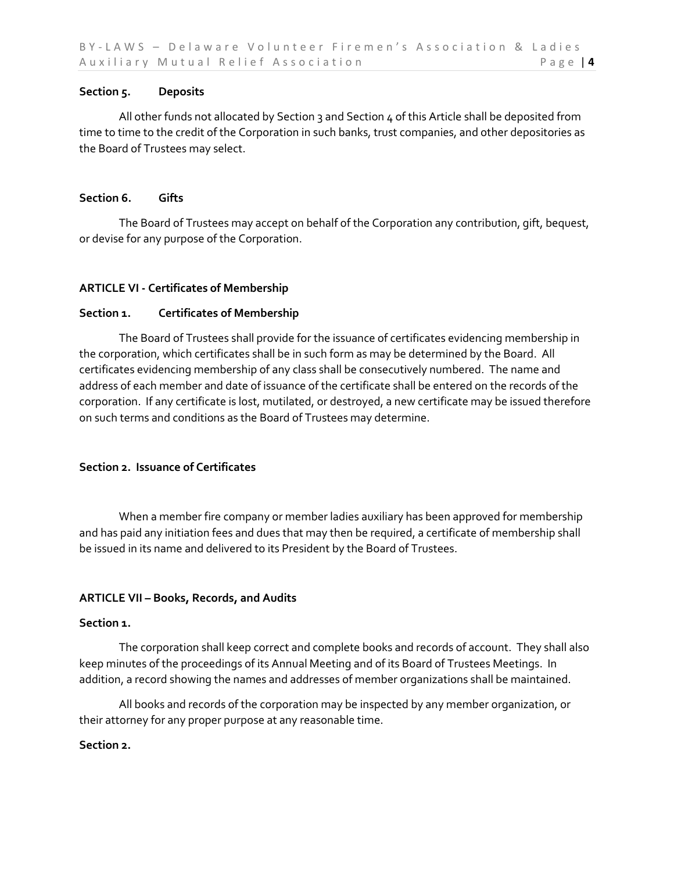#### **Section 5. Deposits**

All other funds not allocated by Section 3 and Section  $4$  of this Article shall be deposited from time to time to the credit of the Corporation in such banks, trust companies, and other depositories as the Board of Trustees may select.

#### **Section 6. Gifts**

The Board of Trustees may accept on behalf of the Corporation any contribution, gift, bequest, or devise for any purpose of the Corporation.

## **ARTICLE VI - Certificates of Membership**

## **Section 1. Certificates of Membership**

The Board of Trustees shall provide for the issuance of certificates evidencing membership in the corporation, which certificates shall be in such form as may be determined by the Board. All certificates evidencing membership of any class shall be consecutively numbered. The name and address of each member and date of issuance of the certificate shall be entered on the records of the corporation. If any certificate is lost, mutilated, or destroyed, a new certificate may be issued therefore on such terms and conditions as the Board of Trustees may determine.

## **Section 2. Issuance of Certificates**

When a member fire company or member ladies auxiliary has been approved for membership and has paid any initiation fees and dues that may then be required, a certificate of membership shall be issued in its name and delivered to its President by the Board of Trustees.

#### **ARTICLE VII – Books, Records, and Audits**

#### **Section 1.**

The corporation shall keep correct and complete books and records of account. They shall also keep minutes of the proceedings of its Annual Meeting and of its Board of Trustees Meetings. In addition, a record showing the names and addresses of member organizations shall be maintained.

All books and records of the corporation may be inspected by any member organization, or their attorney for any proper purpose at any reasonable time.

#### **Section 2.**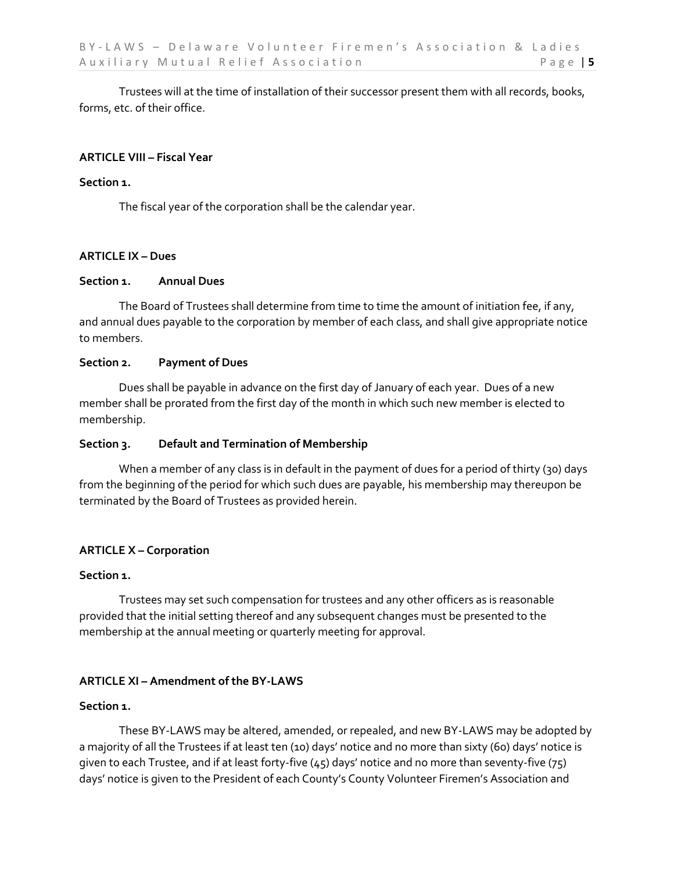Trustees will at the time of installation of their successor present them with all records, books, forms, etc. of their office.

#### **ARTICLE VIII – Fiscal Year**

#### **Section 1.**

The fiscal year of the corporation shall be the calendar year.

#### **ARTICLE IX – Dues**

#### **Section 1. Annual Dues**

The Board of Trustees shall determine from time to time the amount of initiation fee, if any, and annual dues payable to the corporation by member of each class, and shall give appropriate notice to members.

#### **Section 2. Payment of Dues**

Dues shall be payable in advance on the first day of January of each year. Dues of a new member shall be prorated from the first day of the month in which such new member is elected to membership.

#### **Section 3. Default and Termination of Membership**

When a member of any class is in default in the payment of dues for a period of thirty (30) days from the beginning of the period for which such dues are payable, his membership may thereupon be terminated by the Board of Trustees as provided herein.

#### **ARTICLE X – Corporation**

#### **Section 1.**

Trustees may set such compensation for trustees and any other officers as is reasonable provided that the initial setting thereof and any subsequent changes must be presented to the membership at the annual meeting or quarterly meeting for approval.

#### **ARTICLE XI – Amendment of the BY-LAWS**

#### **Section 1.**

These BY-LAWS may be altered, amended, or repealed, and new BY-LAWS may be adopted by a majority of all the Trustees if at least ten (10) days' notice and no more than sixty (60) days' notice is given to each Trustee, and if at least forty-five (45) days' notice and no more than seventy-five (75) days' notice is given to the President of each County's County Volunteer Firemen's Association and